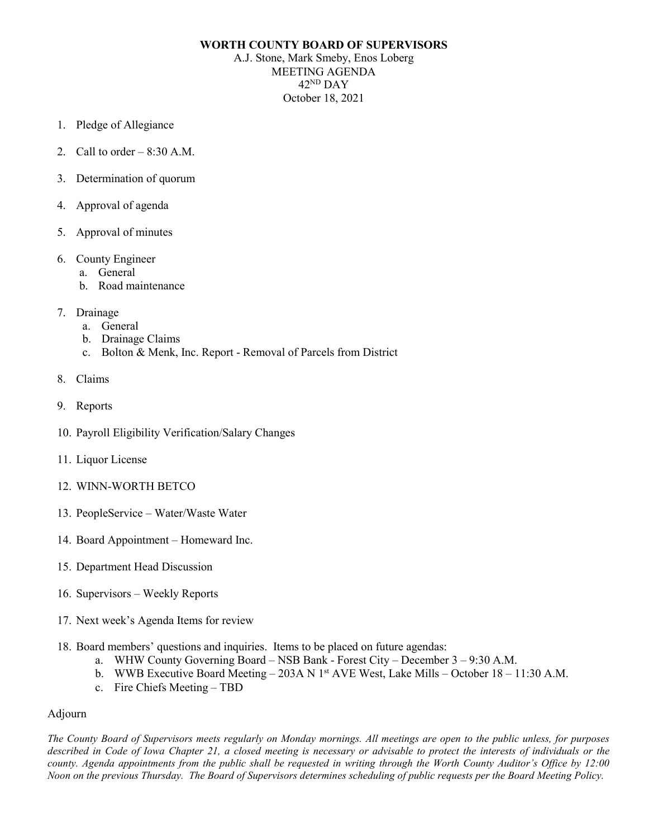## **WORTH COUNTY BOARD OF SUPERVISORS**

A.J. Stone, Mark Smeby, Enos Loberg MEETING AGENDA 42ND DAY October 18, 2021

- 1. Pledge of Allegiance
- 2. Call to order  $-8:30$  A.M.
- 3. Determination of quorum
- 4. Approval of agenda
- 5. Approval of minutes
- 6. County Engineer
	- a. General
	- b. Road maintenance
- 7. Drainage
	- a. General
	- b. Drainage Claims
	- c. Bolton & Menk, Inc. Report Removal of Parcels from District
- 8. Claims
- 9. Reports
- 10. Payroll Eligibility Verification/Salary Changes
- 11. Liquor License
- 12. WINN-WORTH BETCO
- 13. PeopleService Water/Waste Water
- 14. Board Appointment Homeward Inc.
- 15. Department Head Discussion
- 16. Supervisors Weekly Reports
- 17. Next week's Agenda Items for review
- 18. Board members' questions and inquiries. Items to be placed on future agendas:
	- a. WHW County Governing Board NSB Bank Forest City December 3 9:30 A.M.
	- b. WWB Executive Board Meeting 203A N 1<sup>st</sup> AVE West, Lake Mills October 18 11:30 A.M.
	- c. Fire Chiefs Meeting TBD

## Adjourn

*The County Board of Supervisors meets regularly on Monday mornings. All meetings are open to the public unless, for purposes*  described in Code of Iowa Chapter 21, a closed meeting is necessary or advisable to protect the interests of individuals or the *county. Agenda appointments from the public shall be requested in writing through the Worth County Auditor's Office by 12:00 Noon on the previous Thursday. The Board of Supervisors determines scheduling of public requests per the Board Meeting Policy.*